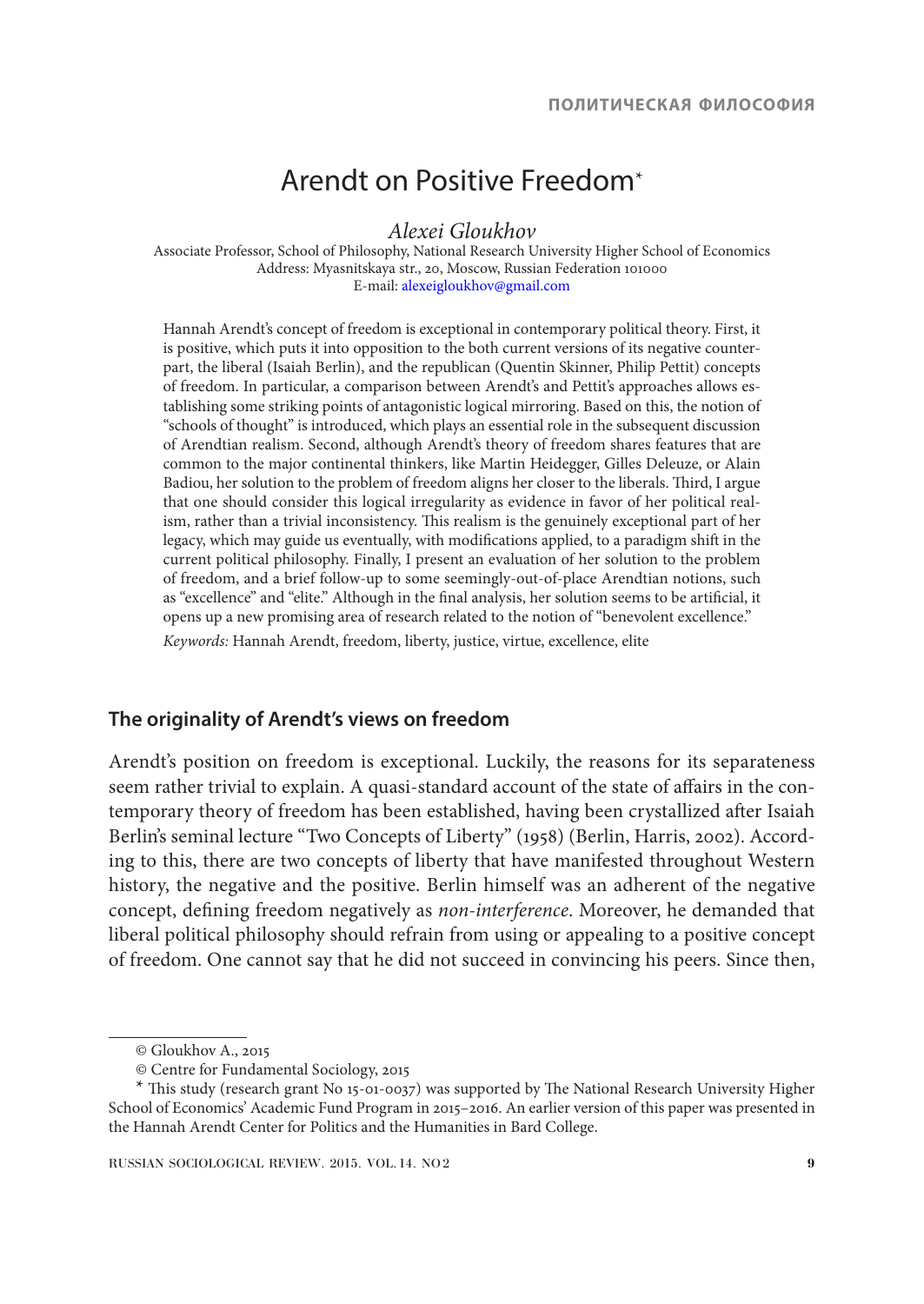# Arendt on Positive Freedom\*

*Alexei Gloukhov*

Associate Professor, School of Philosophy, National Research University Higher School of Economics Address: Myasnitskaya str., 20, Moscow, Russian Federation 101000 E-mail: alexeigloukhov@gmail.com

Hannah Arendt's concept of freedom is exceptional in contemporary political theory. First, it is positive, which puts it into opposition to the both current versions of its negative counterpart, the liberal (Isaiah Berlin), and the republican (Quentin Skinner, Philip Pettit) concepts of freedom. In particular, a comparison between Arendt's and Pettit's approaches allows establishing some striking points of antagonistic logical mirroring. Based on this, the notion of "schools of thought" is introduced, which plays an essential role in the subsequent discussion of Arendtian realism. Second, although Arendt's theory of freedom shares features that are common to the major continental thinkers, like Martin Heidegger, Gilles Deleuze, or Alain Badiou, her solution to the problem of freedom aligns her closer to the liberals. Third, I argue that one should consider this logical irregularity as evidence in favor of her political realism, rather than a trivial inconsistency. This realism is the genuinely exceptional part of her legacy, which may guide us eventually, with modifications applied, to a paradigm shift in the current political philosophy. Finally, I present an evaluation of her solution to the problem of freedom, and a brief follow-up to some seemingly-out-of-place Arendtian notions, such as "excellence" and "elite." Although in the final analysis, her solution seems to be artificial, it opens up a new promising area of research related to the notion of "benevolent excellence."

*Keywords:* Hannah Arendt, freedom, liberty, justice, virtue, excellence, elite

## **The originality of Arendt's views on freedom**

Arendt's position on freedom is exceptional. Luckily, the reasons for its separateness seem rather trivial to explain. A quasi-standard account of the state of affairs in the contemporary theory of freedom has been established, having been crystallized after Isaiah Berlin's seminal lecture "Two Concepts of Liberty" (1958) (Berlin, Harris, 2002). According to this, there are two concepts of liberty that have manifested throughout Western history, the negative and the positive. Berlin himself was an adherent of the negative concept, defining freedom negatively as *non-interference*. Moreover, he demanded that liberal political philosophy should refrain from using or appealing to a positive concept of freedom. One cannot say that he did not succeed in convincing his peers. Since then,

<sup>©</sup> Gloukhov A., 2015

<sup>©</sup> Centre for Fundamental Sociology, 2015

<sup>\*</sup> This study (research grant No 15-01-0037) was supported by The National Research University Higher School of Economics' Academic Fund Program in 2015–2016. An earlier version of this paper was presented in the Hannah Arendt Center for Politics and the Humanities in Bard College.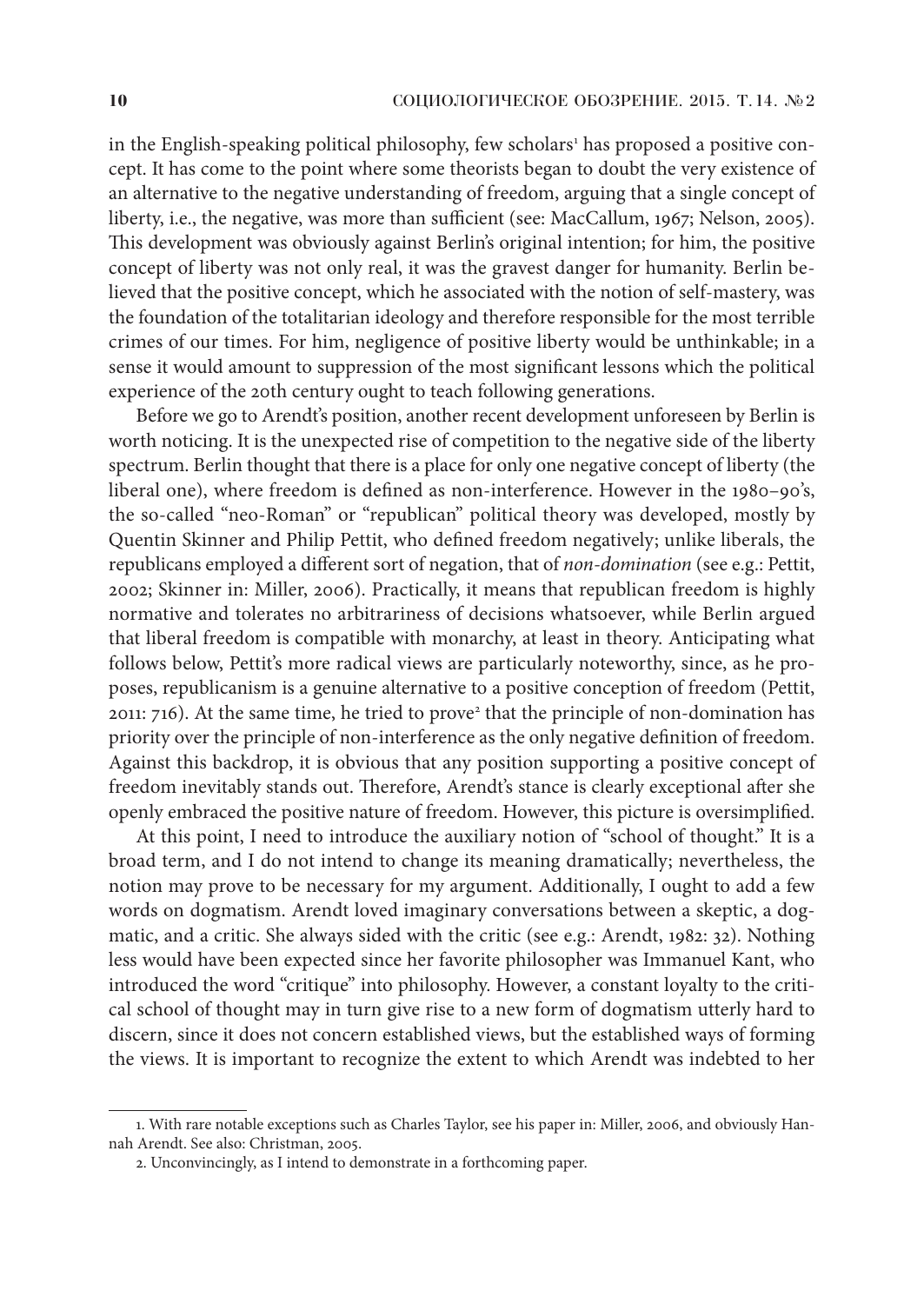in the English-speaking political philosophy, few scholars<sup>1</sup> has proposed a positive concept. It has come to the point where some theorists began to doubt the very existence of an alternative to the negative understanding of freedom, arguing that a single concept of liberty, i.e., the negative, was more than sufficient (see: MacCallum, 1967; Nelson, 2005). This development was obviously against Berlin's original intention; for him, the positive concept of liberty was not only real, it was the gravest danger for humanity. Berlin believed that the positive concept, which he associated with the notion of self-mastery, was the foundation of the totalitarian ideology and therefore responsible for the most terrible crimes of our times. For him, negligence of positive liberty would be unthinkable; in a sense it would amount to suppression of the most significant lessons which the political experience of the 20th century ought to teach following generations.

Before we go to Arendt's position, another recent development unforeseen by Berlin is worth noticing. It is the unexpected rise of competition to the negative side of the liberty spectrum. Berlin thought that there is a place for only one negative concept of liberty (the liberal one), where freedom is defined as non-interference. However in the 1980–90's, the so-called "neo-Roman" or "republican" political theory was developed, mostly by Quentin Skinner and Philip Pettit, who defined freedom negatively; unlike liberals, the republicans employed a different sort of negation, that of *non-domination* (see e.g.: Pettit, 2002; Skinner in: Miller, 2006). Practically, it means that republican freedom is highly normative and tolerates no arbitrariness of decisions whatsoever, while Berlin argued that liberal freedom is compatible with monarchy, at least in theory. Anticipating what follows below, Pettit's more radical views are particularly noteworthy, since, as he proposes, republicanism is a genuine alternative to a positive conception of freedom (Pettit, 2011: 716). At the same time, he tried to prove<sup>2</sup> that the principle of non-domination has priority over the principle of non-interference as the only negative definition of freedom. Against this backdrop, it is obvious that any position supporting a positive concept of freedom inevitably stands out. Therefore, Arendt's stance is clearly exceptional after she openly embraced the positive nature of freedom. However, this picture is oversimplified.

At this point, I need to introduce the auxiliary notion of "school of thought." It is a broad term, and I do not intend to change its meaning dramatically; nevertheless, the notion may prove to be necessary for my argument. Additionally, I ought to add a few words on dogmatism. Arendt loved imaginary conversations between a skeptic, a dogmatic, and a critic. She always sided with the critic (see e.g.: Arendt, 1982: 32). Nothing less would have been expected since her favorite philosopher was Immanuel Kant, who introduced the word "critique" into philosophy. However, a constant loyalty to the critical school of thought may in turn give rise to a new form of dogmatism utterly hard to discern, since it does not concern established views, but the established ways of forming the views. It is important to recognize the extent to which Arendt was indebted to her

<sup>1.</sup> With rare notable exceptions such as Charles Taylor, see his paper in: Miller, 2006, and obviously Hannah Arendt. See also: Christman, 2005.

<sup>2.</sup> Unconvincingly, as I intend to demonstrate in a forthcoming paper.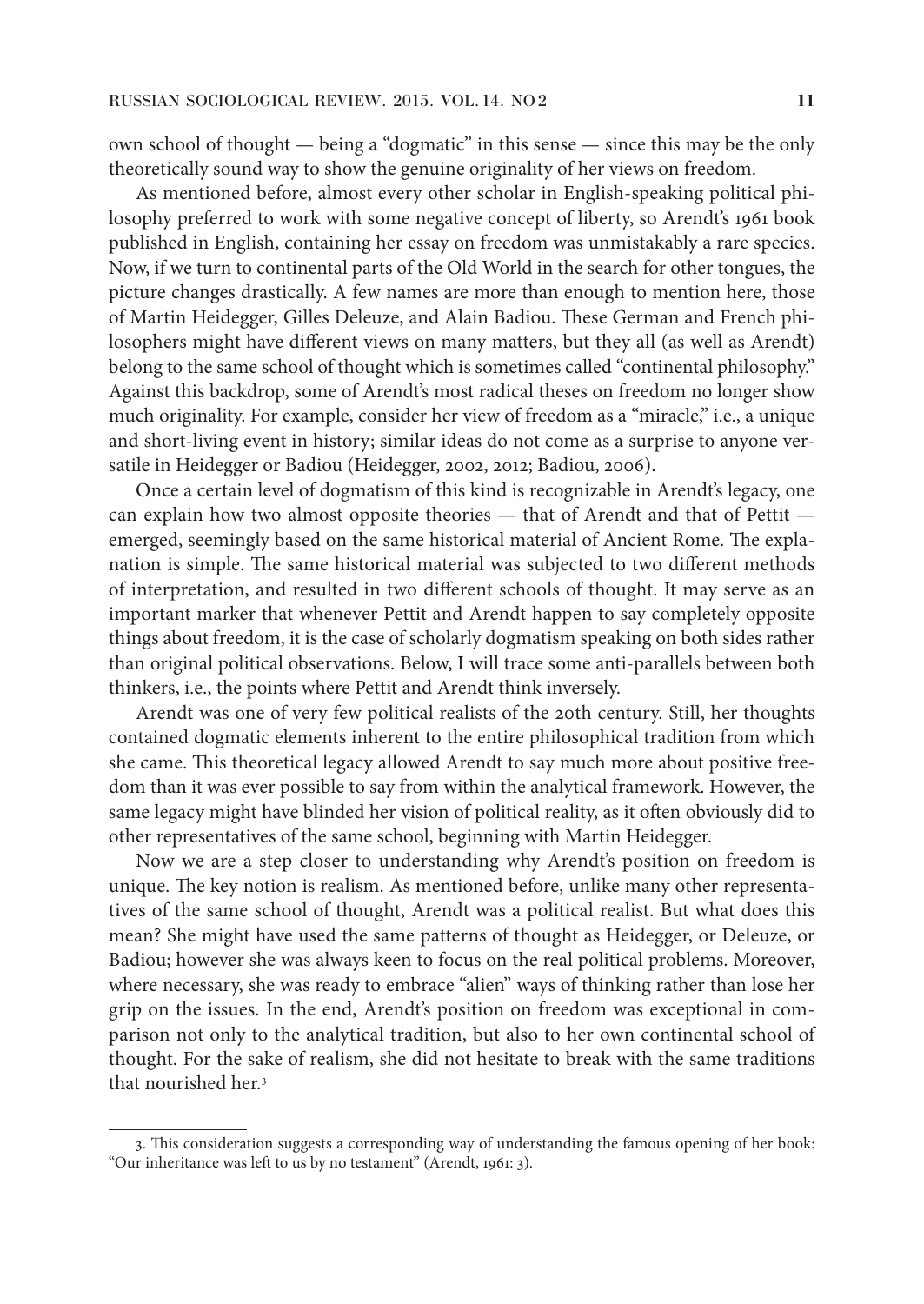own school of thought — being a "dogmatic" in this sense — since this may be the only theoretically sound way to show the genuine originality of her views on freedom.

As mentioned before, almost every other scholar in English-speaking political philosophy preferred to work with some negative concept of liberty, so Arendt's 1961 book published in English, containing her essay on freedom was unmistakably a rare species. Now, if we turn to continental parts of the Old World in the search for other tongues, the picture changes drastically. A few names are more than enough to mention here, those of Martin Heidegger, Gilles Deleuze, and Alain Badiou. These German and French philosophers might have different views on many matters, but they all (as well as Arendt) belong to the same school of thought which is sometimes called "continental philosophy." Against this backdrop, some of Arendt's most radical theses on freedom no longer show much originality. For example, consider her view of freedom as a "miracle," i.e., a unique and short-living event in history; similar ideas do not come as a surprise to anyone versatile in Heidegger or Badiou (Heidegger, 2002, 2012; Badiou, 2006).

Once a certain level of dogmatism of this kind is recognizable in Arendt's legacy, one can explain how two almost opposite theories — that of Arendt and that of Pettit emerged, seemingly based on the same historical material of Ancient Rome. The explanation is simple. The same historical material was subjected to two different methods of interpretation, and resulted in two different schools of thought. It may serve as an important marker that whenever Pettit and Arendt happen to say completely opposite things about freedom, it is the case of scholarly dogmatism speaking on both sides rather than original political observations. Below, I will trace some anti-parallels between both thinkers, i.e., the points where Pettit and Arendt think inversely.

Arendt was one of very few political realists of the 20th century. Still, her thoughts contained dogmatic elements inherent to the entire philosophical tradition from which she came. This theoretical legacy allowed Arendt to say much more about positive freedom than it was ever possible to say from within the analytical framework. However, the same legacy might have blinded her vision of political reality, as it often obviously did to other representatives of the same school, beginning with Martin Heidegger.

Now we are a step closer to understanding why Arendt's position on freedom is unique. The key notion is realism. As mentioned before, unlike many other representatives of the same school of thought, Arendt was a political realist. But what does this mean? She might have used the same patterns of thought as Heidegger, or Deleuze, or Badiou; however she was always keen to focus on the real political problems. Moreover, where necessary, she was ready to embrace "alien" ways of thinking rather than lose her grip on the issues. In the end, Arendt's position on freedom was exceptional in comparison not only to the analytical tradition, but also to her own continental school of thought. For the sake of realism, she did not hesitate to break with the same traditions that nourished her.3

<sup>3.</sup> This consideration suggests a corresponding way of understanding the famous opening of her book: "Our inheritance was left to us by no testament" (Arendt, 1961: 3).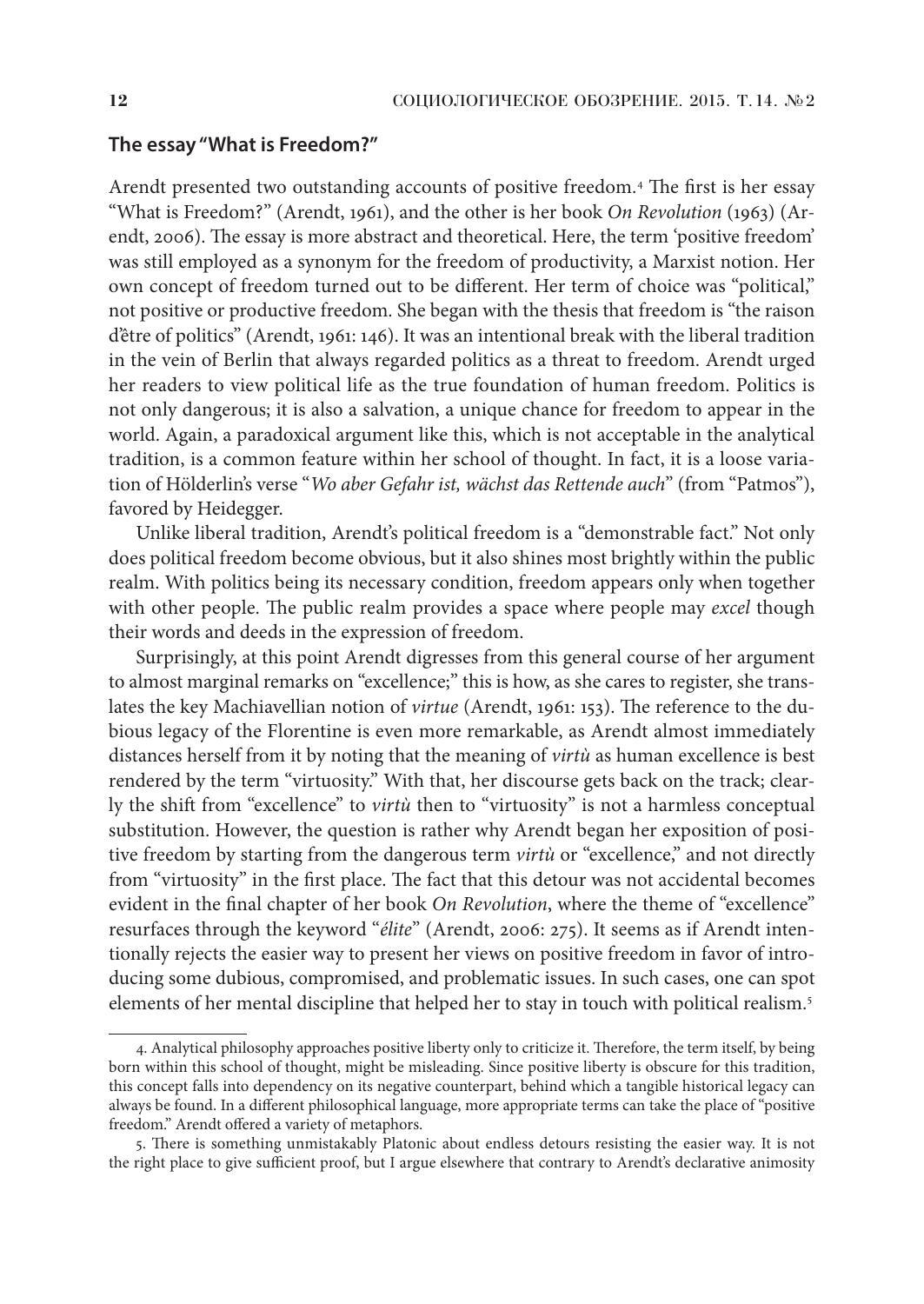#### **The essay "What is Freedom?"**

Arendt presented two outstanding accounts of positive freedom.4 The first is her essay "What is Freedom?" (Arendt, 1961), and the other is her book *On Revolution* (1963) (Arendt, 2006). The essay is more abstract and theoretical. Here, the term 'positive freedom' was still employed as a synonym for the freedom of productivity, a Marxist notion. Her own concept of freedom turned out to be different. Her term of choice was "political," not positive or productive freedom. She began with the thesis that freedom is "the raison d'être of politics" (Arendt, 1961: 146). It was an intentional break with the liberal tradition in the vein of Berlin that always regarded politics as a threat to freedom. Arendt urged her readers to view political life as the true foundation of human freedom. Politics is not only dangerous; it is also a salvation, a unique chance for freedom to appear in the world. Again, a paradoxical argument like this, which is not acceptable in the analytical tradition, is a common feature within her school of thought. In fact, it is a loose variation of Hölderlin's verse "*Wo aber Gefahr ist, wächst das Rettende auch*" (from "Patmos"), favored by Heidegger.

Unlike liberal tradition, Arendt's political freedom is a "demonstrable fact." Not only does political freedom become obvious, but it also shines most brightly within the public realm. With politics being its necessary condition, freedom appears only when together with other people. The public realm provides a space where people may *excel* though their words and deeds in the expression of freedom.

Surprisingly, at this point Arendt digresses from this general course of her argument to almost marginal remarks on "excellence;" this is how, as she cares to register, she translates the key Machiavellian notion of *virtue* (Arendt, 1961: 153). The reference to the dubious legacy of the Florentine is even more remarkable, as Arendt almost immediately distances herself from it by noting that the meaning of *virtù* as human excellence is best rendered by the term "virtuosity." With that, her discourse gets back on the track; clearly the shift from "excellence" to *virtù* then to "virtuosity" is not a harmless conceptual substitution. However, the question is rather why Arendt began her exposition of positive freedom by starting from the dangerous term *virtù* or "excellence," and not directly from "virtuosity" in the first place. The fact that this detour was not accidental becomes evident in the final chapter of her book *On Revolution*, where the theme of "excellence" resurfaces through the keyword "*élite*" (Arendt, 2006: 275). It seems as if Arendt intentionally rejects the easier way to present her views on positive freedom in favor of introducing some dubious, compromised, and problematic issues. In such cases, one can spot elements of her mental discipline that helped her to stay in touch with political realism.5

<sup>4.</sup> Analytical philosophy approaches positive liberty only to criticize it. Therefore, the term itself, by being born within this school of thought, might be misleading. Since positive liberty is obscure for this tradition, this concept falls into dependency on its negative counterpart, behind which a tangible historical legacy can always be found. In a different philosophical language, more appropriate terms can take the place of "positive freedom." Arendt offered a variety of metaphors.

<sup>5.</sup> There is something unmistakably Platonic about endless detours resisting the easier way. It is not the right place to give sufficient proof, but I argue elsewhere that contrary to Arendt's declarative animosity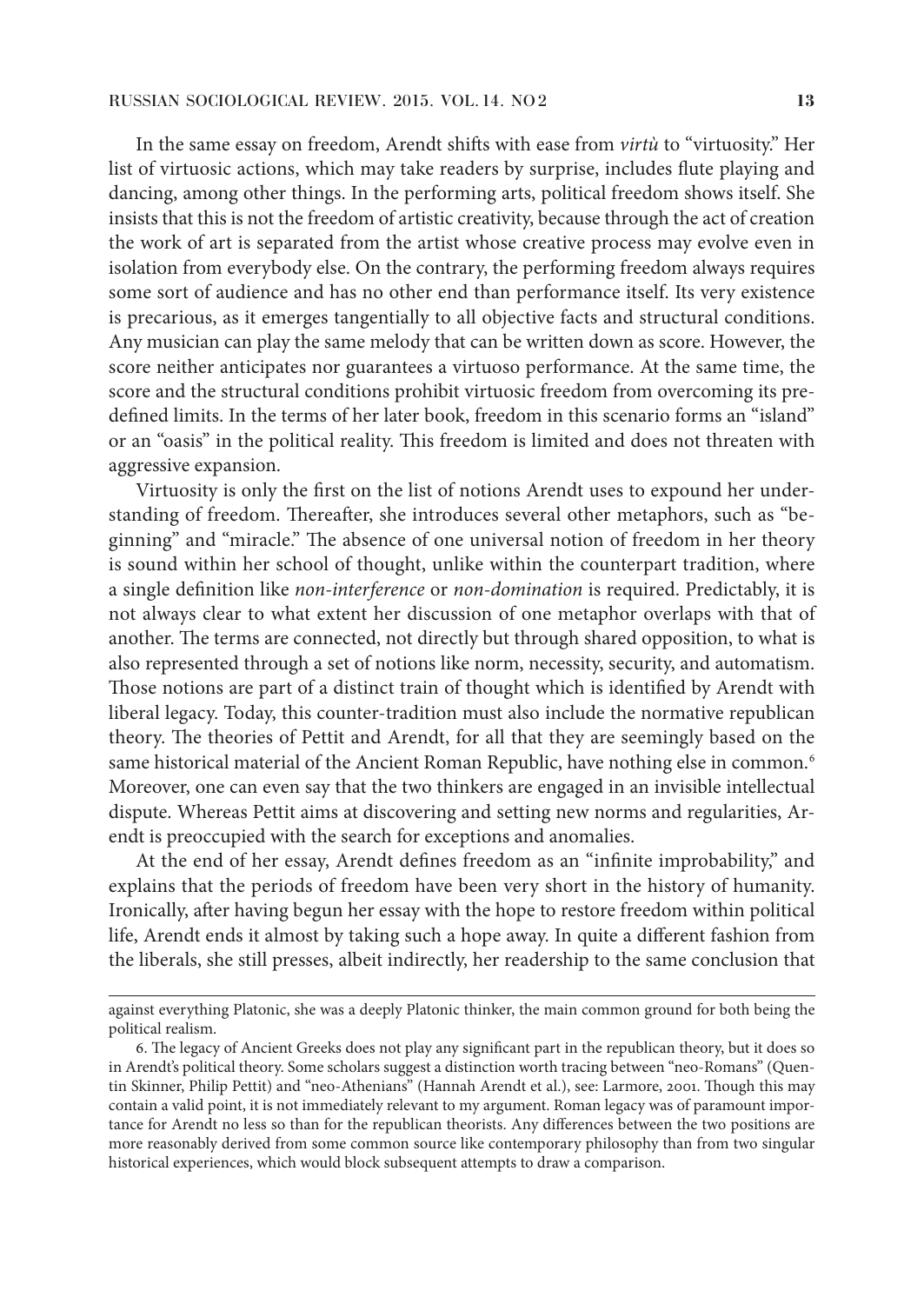In the same essay on freedom, Arendt shifts with ease from *virtù* to "virtuosity." Her list of virtuosic actions, which may take readers by surprise, includes flute playing and dancing, among other things. In the performing arts, political freedom shows itself. She insists that this is not the freedom of artistic creativity, because through the act of creation the work of art is separated from the artist whose creative process may evolve even in isolation from everybody else. On the contrary, the performing freedom always requires some sort of audience and has no other end than performance itself. Its very existence is precarious, as it emerges tangentially to all objective facts and structural conditions. Any musician can play the same melody that can be written down as score. However, the score neither anticipates nor guarantees a virtuoso performance. At the same time, the score and the structural conditions prohibit virtuosic freedom from overcoming its predefined limits. In the terms of her later book, freedom in this scenario forms an "island" or an "oasis" in the political reality. This freedom is limited and does not threaten with aggressive expansion.

Virtuosity is only the first on the list of notions Arendt uses to expound her understanding of freedom. Thereafter, she introduces several other metaphors, such as "beginning" and "miracle." The absence of one universal notion of freedom in her theory is sound within her school of thought, unlike within the counterpart tradition, where a single definition like *non-interference* or *non-domination* is required. Predictably, it is not always clear to what extent her discussion of one metaphor overlaps with that of another. The terms are connected, not directly but through shared opposition, to what is also represented through a set of notions like norm, necessity, security, and automatism. Those notions are part of a distinct train of thought which is identified by Arendt with liberal legacy. Today, this counter-tradition must also include the normative republican theory. The theories of Pettit and Arendt, for all that they are seemingly based on the same historical material of the Ancient Roman Republic, have nothing else in common.<sup>6</sup> Moreover, one can even say that the two thinkers are engaged in an invisible intellectual dispute. Whereas Pettit aims at discovering and setting new norms and regularities, Arendt is preoccupied with the search for exceptions and anomalies.

At the end of her essay, Arendt defines freedom as an "infinite improbability," and explains that the periods of freedom have been very short in the history of humanity. Ironically, after having begun her essay with the hope to restore freedom within political life, Arendt ends it almost by taking such a hope away. In quite a different fashion from the liberals, she still presses, albeit indirectly, her readership to the same conclusion that

against everything Platonic, she was a deeply Platonic thinker, the main common ground for both being the political realism.

<sup>6.</sup> The legacy of Ancient Greeks does not play any significant part in the republican theory, but it does so in Arendt's political theory. Some scholars suggest a distinction worth tracing between "neo-Romans" (Quentin Skinner, Philip Pettit) and "neo-Athenians" (Hannah Arendt et al.), see: Larmore, 2001. Though this may contain a valid point, it is not immediately relevant to my argument. Roman legacy was of paramount importance for Arendt no less so than for the republican theorists. Any differences between the two positions are more reasonably derived from some common source like contemporary philosophy than from two singular historical experiences, which would block subsequent attempts to draw a comparison.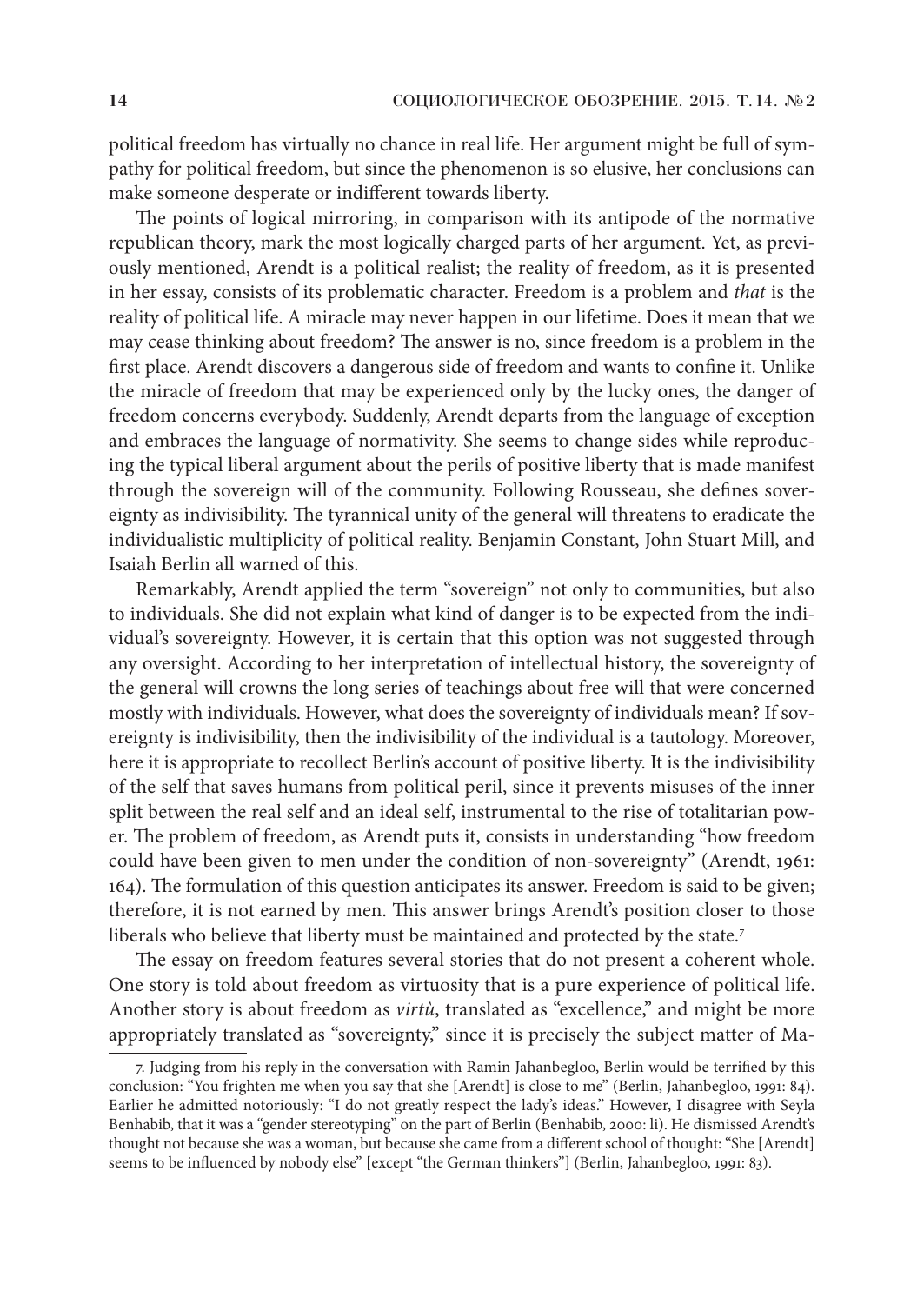political freedom has virtually no chance in real life. Her argument might be full of sympathy for political freedom, but since the phenomenon is so elusive, her conclusions can make someone desperate or indifferent towards liberty.

The points of logical mirroring, in comparison with its antipode of the normative republican theory, mark the most logically charged parts of her argument. Yet, as previously mentioned, Arendt is a political realist; the reality of freedom, as it is presented in her essay, consists of its problematic character. Freedom is a problem and *that* is the reality of political life. A miracle may never happen in our lifetime. Does it mean that we may cease thinking about freedom? The answer is no, since freedom is a problem in the first place. Arendt discovers a dangerous side of freedom and wants to confine it. Unlike the miracle of freedom that may be experienced only by the lucky ones, the danger of freedom concerns everybody. Suddenly, Arendt departs from the language of exception and embraces the language of normativity. She seems to change sides while reproducing the typical liberal argument about the perils of positive liberty that is made manifest through the sovereign will of the community. Following Rousseau, she defines sovereignty as indivisibility. The tyrannical unity of the general will threatens to eradicate the individualistic multiplicity of political reality. Benjamin Constant, John Stuart Mill, and Isaiah Berlin all warned of this.

Remarkably, Arendt applied the term "sovereign" not only to communities, but also to individuals. She did not explain what kind of danger is to be expected from the individual's sovereignty. However, it is certain that this option was not suggested through any oversight. According to her interpretation of intellectual history, the sovereignty of the general will crowns the long series of teachings about free will that were concerned mostly with individuals. However, what does the sovereignty of individuals mean? If sovereignty is indivisibility, then the indivisibility of the individual is a tautology. Moreover, here it is appropriate to recollect Berlin's account of positive liberty. It is the indivisibility of the self that saves humans from political peril, since it prevents misuses of the inner split between the real self and an ideal self, instrumental to the rise of totalitarian power. The problem of freedom, as Arendt puts it, consists in understanding "how freedom could have been given to men under the condition of non-sovereignty" (Arendt, 1961: 164). The formulation of this question anticipates its answer. Freedom is said to be given; therefore, it is not earned by men. This answer brings Arendt's position closer to those liberals who believe that liberty must be maintained and protected by the state.7

The essay on freedom features several stories that do not present a coherent whole. One story is told about freedom as virtuosity that is a pure experience of political life. Another story is about freedom as *virtù*, translated as "excellence," and might be more appropriately translated as "sovereignty," since it is precisely the subject matter of Ma-

<sup>7.</sup> Judging from his reply in the conversation with Ramin Jahanbegloo, Berlin would be terrified by this conclusion: "You frighten me when you say that she [Arendt] is close to me" (Berlin, Jahanbegloo, 1991: 84). Earlier he admitted notoriously: "I do not greatly respect the lady's ideas." However, I disagree with Seyla Benhabib, that it was a "gender stereotyping" on the part of Berlin (Benhabib, 2000: li). He dismissed Arendt's thought not because she was a woman, but because she came from a different school of thought: "She [Arendt] seems to be influenced by nobody else" [except "the German thinkers"] (Berlin, Jahanbegloo, 1991: 83).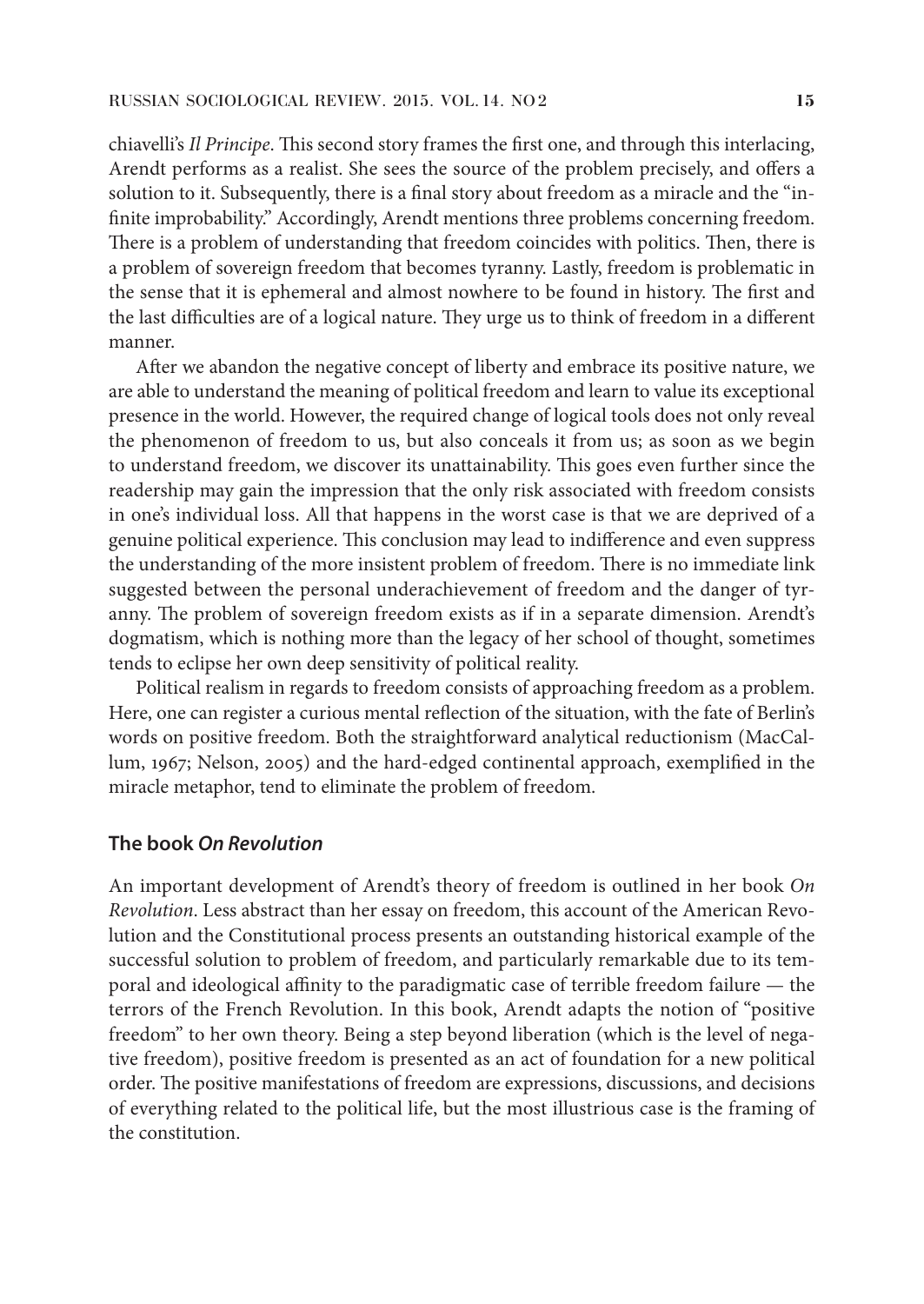chiavelli's *Il Principe*. This second story frames the first one, and through this interlacing, Arendt performs as a realist. She sees the source of the problem precisely, and offers a solution to it. Subsequently, there is a final story about freedom as a miracle and the "infinite improbability." Accordingly, Arendt mentions three problems concerning freedom. There is a problem of understanding that freedom coincides with politics. Then, there is a problem of sovereign freedom that becomes tyranny. Lastly, freedom is problematic in the sense that it is ephemeral and almost nowhere to be found in history. The first and the last difficulties are of a logical nature. They urge us to think of freedom in a different manner.

After we abandon the negative concept of liberty and embrace its positive nature, we are able to understand the meaning of political freedom and learn to value its exceptional presence in the world. However, the required change of logical tools does not only reveal the phenomenon of freedom to us, but also conceals it from us; as soon as we begin to understand freedom, we discover its unattainability. This goes even further since the readership may gain the impression that the only risk associated with freedom consists in one's individual loss. All that happens in the worst case is that we are deprived of a genuine political experience. This conclusion may lead to indifference and even suppress the understanding of the more insistent problem of freedom. There is no immediate link suggested between the personal underachievement of freedom and the danger of tyranny. The problem of sovereign freedom exists as if in a separate dimension. Arendt's dogmatism, which is nothing more than the legacy of her school of thought, sometimes tends to eclipse her own deep sensitivity of political reality.

Political realism in regards to freedom consists of approaching freedom as a problem. Here, one can register a curious mental reflection of the situation, with the fate of Berlin's words on positive freedom. Both the straightforward analytical reductionism (MacCallum, 1967; Nelson, 2005) and the hard-edged continental approach, exemplified in the miracle metaphor, tend to eliminate the problem of freedom.

#### **The book** *On Revolution*

An important development of Arendt's theory of freedom is outlined in her book *On Revolution*. Less abstract than her essay on freedom, this account of the American Revolution and the Constitutional process presents an outstanding historical example of the successful solution to problem of freedom, and particularly remarkable due to its temporal and ideological affinity to the paradigmatic case of terrible freedom failure — the terrors of the French Revolution. In this book, Arendt adapts the notion of "positive freedom" to her own theory. Being a step beyond liberation (which is the level of negative freedom), positive freedom is presented as an act of foundation for a new political order. The positive manifestations of freedom are expressions, discussions, and decisions of everything related to the political life, but the most illustrious case is the framing of the constitution.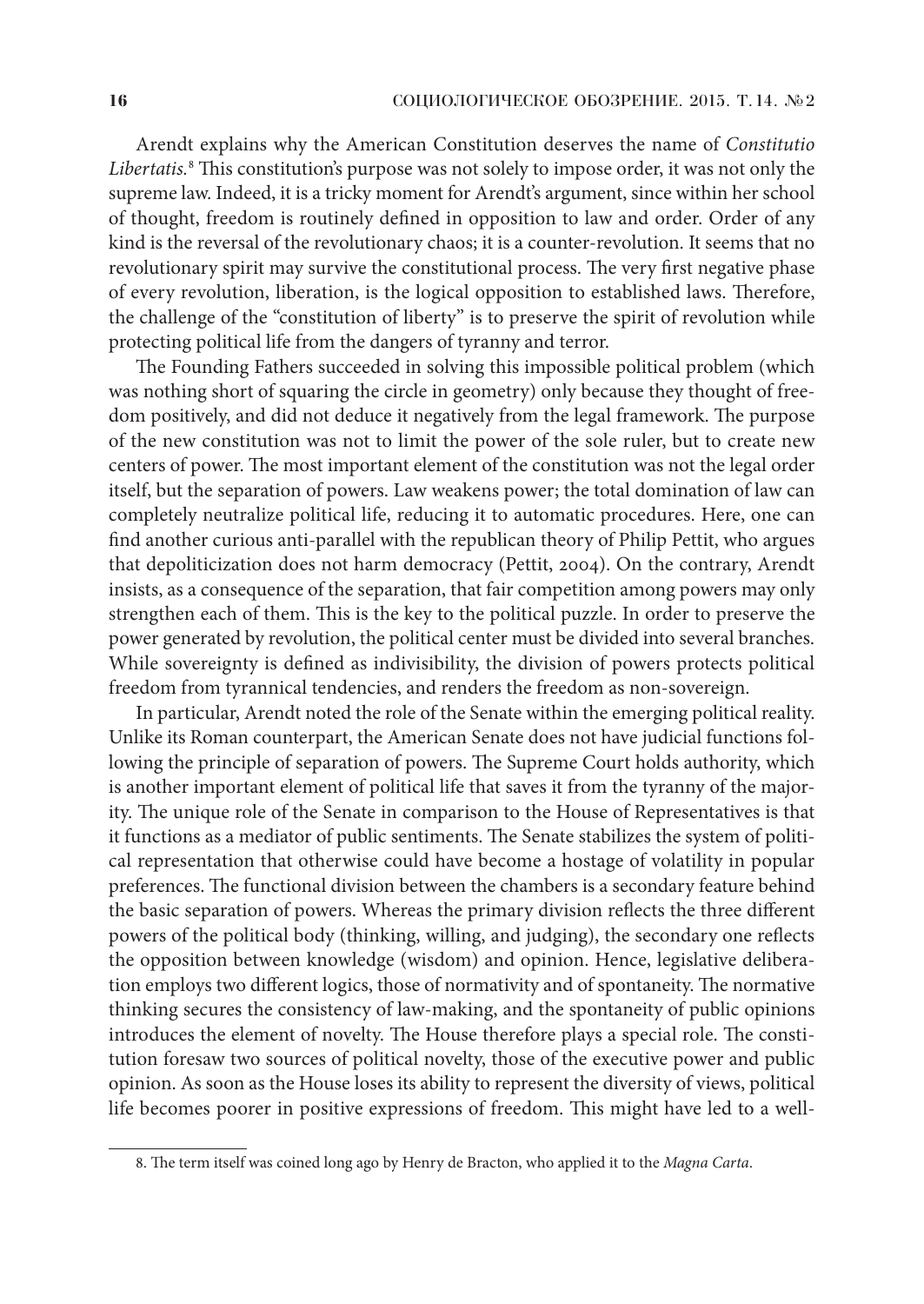Arendt explains why the American Constitution deserves the name of *Constitutio Libertatis.*<sup>8</sup> This constitution's purpose was not solely to impose order, it was not only the supreme law. Indeed, it is a tricky moment for Arendt's argument, since within her school of thought, freedom is routinely defined in opposition to law and order. Order of any kind is the reversal of the revolutionary chaos; it is a counter-revolution. It seems that no revolutionary spirit may survive the constitutional process. The very first negative phase of every revolution, liberation, is the logical opposition to established laws. Therefore, the challenge of the "constitution of liberty" is to preserve the spirit of revolution while protecting political life from the dangers of tyranny and terror.

The Founding Fathers succeeded in solving this impossible political problem (which was nothing short of squaring the circle in geometry) only because they thought of freedom positively, and did not deduce it negatively from the legal framework. The purpose of the new constitution was not to limit the power of the sole ruler, but to create new centers of power. The most important element of the constitution was not the legal order itself, but the separation of powers. Law weakens power; the total domination of law can completely neutralize political life, reducing it to automatic procedures. Here, one can find another curious anti-parallel with the republican theory of Philip Pettit, who argues that depoliticization does not harm democracy (Pettit, 2004). On the contrary, Arendt insists, as a consequence of the separation, that fair competition among powers may only strengthen each of them. This is the key to the political puzzle. In order to preserve the power generated by revolution, the political center must be divided into several branches. While sovereignty is defined as indivisibility, the division of powers protects political freedom from tyrannical tendencies, and renders the freedom as non-sovereign.

In particular, Arendt noted the role of the Senate within the emerging political reality. Unlike its Roman counterpart, the American Senate does not have judicial functions following the principle of separation of powers. The Supreme Court holds authority, which is another important element of political life that saves it from the tyranny of the majority. The unique role of the Senate in comparison to the House of Representatives is that it functions as a mediator of public sentiments. The Senate stabilizes the system of political representation that otherwise could have become a hostage of volatility in popular preferences. The functional division between the chambers is a secondary feature behind the basic separation of powers. Whereas the primary division reflects the three different powers of the political body (thinking, willing, and judging), the secondary one reflects the opposition between knowledge (wisdom) and opinion. Hence, legislative deliberation employs two different logics, those of normativity and of spontaneity. The normative thinking secures the consistency of law-making, and the spontaneity of public opinions introduces the element of novelty. The House therefore plays a special role. The constitution foresaw two sources of political novelty, those of the executive power and public opinion. As soon as the House loses its ability to represent the diversity of views, political life becomes poorer in positive expressions of freedom. This might have led to a well-

<sup>8.</sup> The term itself was coined long ago by Henry de Bracton, who applied it to the *Magna Carta*.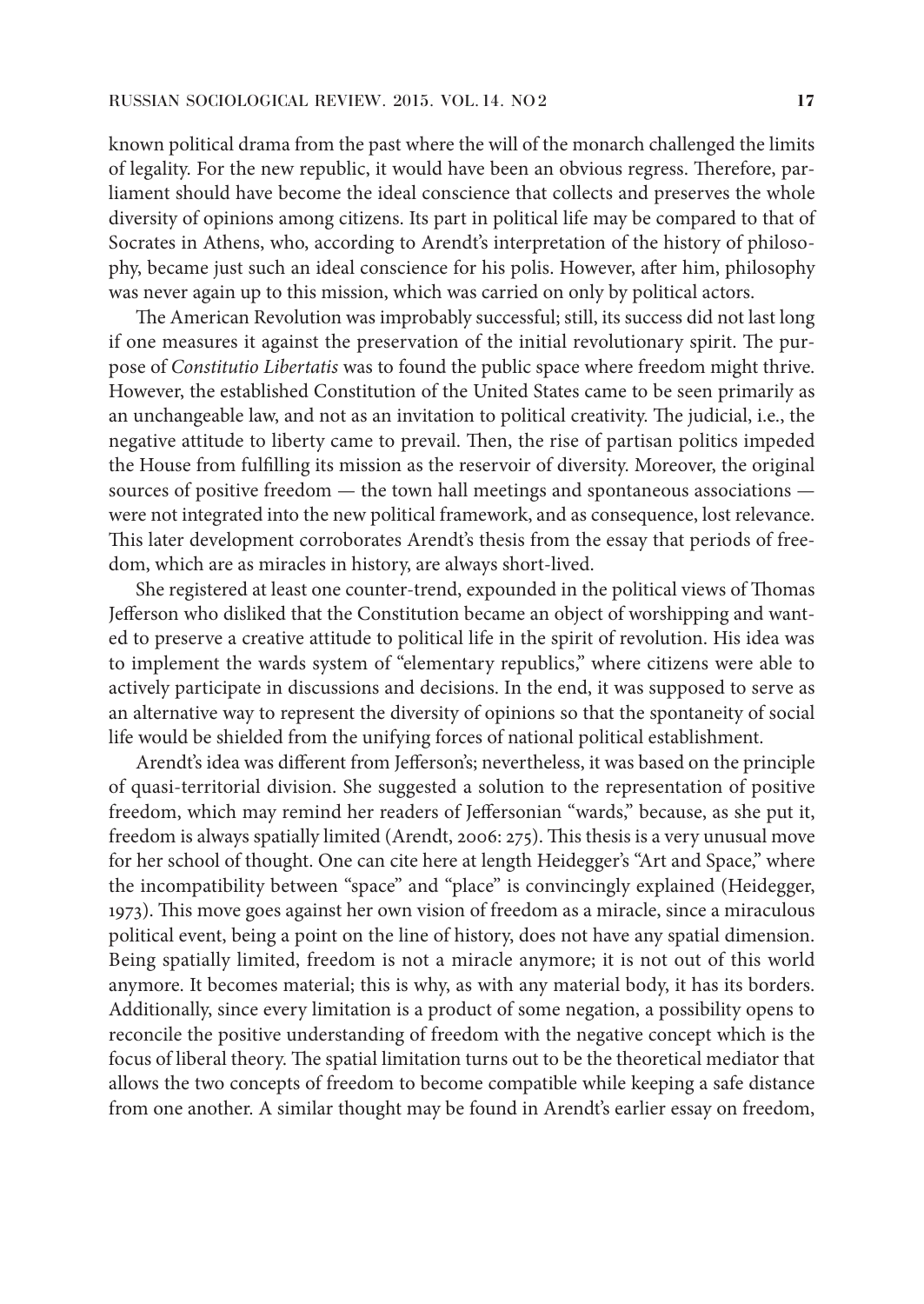known political drama from the past where the will of the monarch challenged the limits of legality. For the new republic, it would have been an obvious regress. Therefore, parliament should have become the ideal conscience that collects and preserves the whole diversity of opinions among citizens. Its part in political life may be compared to that of Socrates in Athens, who, according to Arendt's interpretation of the history of philosophy, became just such an ideal conscience for his polis. However, after him, philosophy was never again up to this mission, which was carried on only by political actors.

The American Revolution was improbably successful; still, its success did not last long if one measures it against the preservation of the initial revolutionary spirit. The purpose of *Constitutio Libertatis* was to found the public space where freedom might thrive. However, the established Constitution of the United States came to be seen primarily as an unchangeable law, and not as an invitation to political creativity. The judicial, i.e., the negative attitude to liberty came to prevail. Then, the rise of partisan politics impeded the House from fulfilling its mission as the reservoir of diversity. Moreover, the original sources of positive freedom — the town hall meetings and spontaneous associations were not integrated into the new political framework, and as consequence, lost relevance. This later development corroborates Arendt's thesis from the essay that periods of freedom, which are as miracles in history, are always short-lived.

She registered at least one counter-trend, expounded in the political views of Thomas Jefferson who disliked that the Constitution became an object of worshipping and wanted to preserve a creative attitude to political life in the spirit of revolution. His idea was to implement the wards system of "elementary republics," where citizens were able to actively participate in discussions and decisions. In the end, it was supposed to serve as an alternative way to represent the diversity of opinions so that the spontaneity of social life would be shielded from the unifying forces of national political establishment.

Arendt's idea was different from Jefferson's; nevertheless, it was based on the principle of quasi-territorial division. She suggested a solution to the representation of positive freedom, which may remind her readers of Jeffersonian "wards," because, as she put it, freedom is always spatially limited (Arendt, 2006: 275). This thesis is a very unusual move for her school of thought. One can cite here at length Heidegger's "Art and Space," where the incompatibility between "space" and "place" is convincingly explained (Heidegger, 1973). This move goes against her own vision of freedom as a miracle, since a miraculous political event, being a point on the line of history, does not have any spatial dimension. Being spatially limited, freedom is not a miracle anymore; it is not out of this world anymore. It becomes material; this is why, as with any material body, it has its borders. Additionally, since every limitation is a product of some negation, a possibility opens to reconcile the positive understanding of freedom with the negative concept which is the focus of liberal theory. The spatial limitation turns out to be the theoretical mediator that allows the two concepts of freedom to become compatible while keeping a safe distance from one another. A similar thought may be found in Arendt's earlier essay on freedom,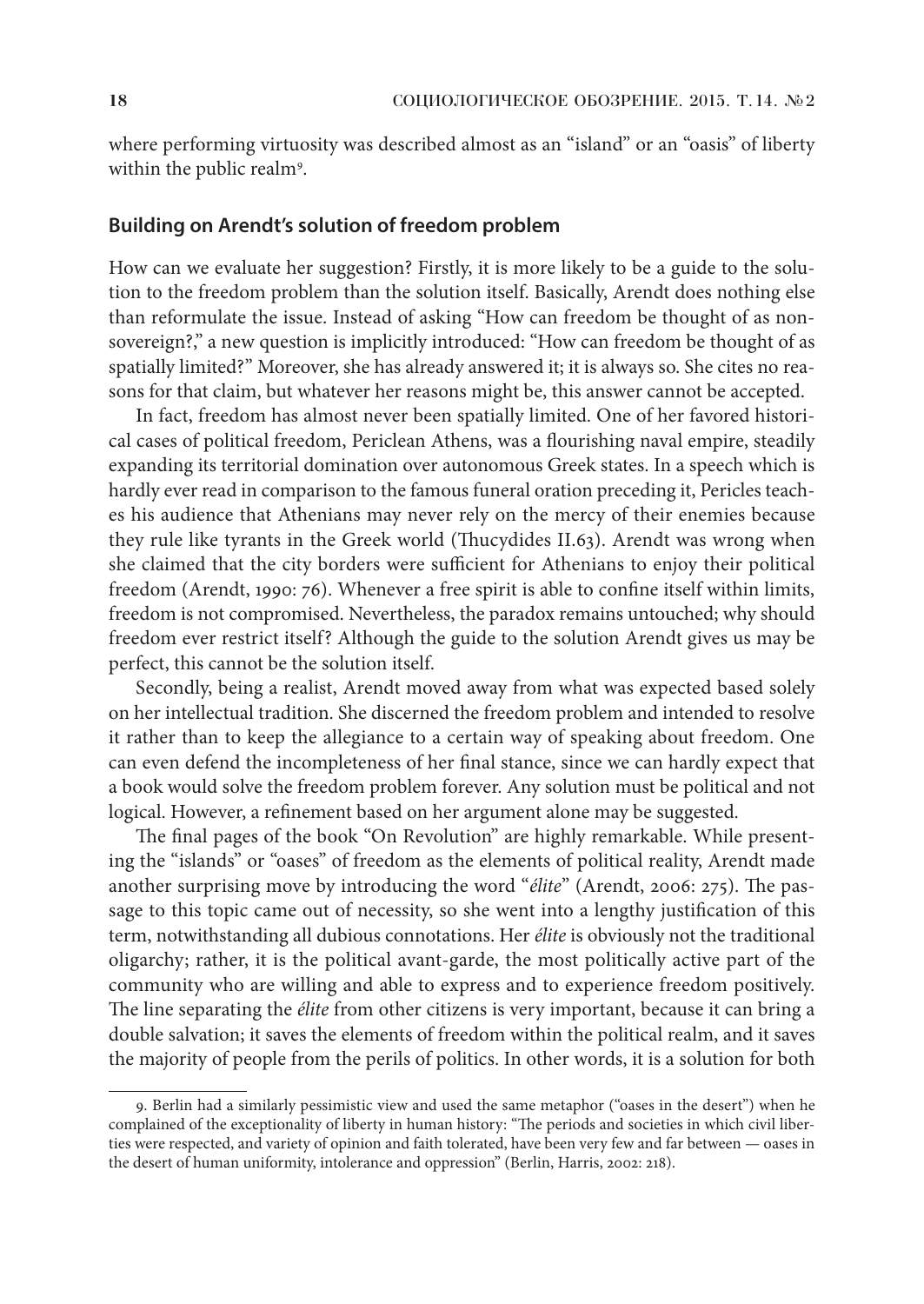where performing virtuosity was described almost as an "island" or an "oasis" of liberty within the public realm<sup>9</sup>.

#### **Building on Arendt's solution of freedom problem**

How can we evaluate her suggestion? Firstly, it is more likely to be a guide to the solution to the freedom problem than the solution itself. Basically, Arendt does nothing else than reformulate the issue. Instead of asking "How can freedom be thought of as nonsovereign?," a new question is implicitly introduced: "How can freedom be thought of as spatially limited?" Moreover, she has already answered it; it is always so. She cites no reasons for that claim, but whatever her reasons might be, this answer cannot be accepted.

In fact, freedom has almost never been spatially limited. One of her favored historical cases of political freedom, Periclean Athens, was a flourishing naval empire, steadily expanding its territorial domination over autonomous Greek states. In a speech which is hardly ever read in comparison to the famous funeral oration preceding it, Pericles teaches his audience that Athenians may never rely on the mercy of their enemies because they rule like tyrants in the Greek world (Thucydides II.63). Arendt was wrong when she claimed that the city borders were sufficient for Athenians to enjoy their political freedom (Arendt, 1990: 76). Whenever a free spirit is able to confine itself within limits, freedom is not compromised. Nevertheless, the paradox remains untouched; why should freedom ever restrict itself? Although the guide to the solution Arendt gives us may be perfect, this cannot be the solution itself.

Secondly, being a realist, Arendt moved away from what was expected based solely on her intellectual tradition. She discerned the freedom problem and intended to resolve it rather than to keep the allegiance to a certain way of speaking about freedom. One can even defend the incompleteness of her final stance, since we can hardly expect that a book would solve the freedom problem forever. Any solution must be political and not logical. However, a refinement based on her argument alone may be suggested.

The final pages of the book "On Revolution" are highly remarkable. While presenting the "islands" or "oases" of freedom as the elements of political reality, Arendt made another surprising move by introducing the word "*élite*" (Arendt, 2006: 275). The passage to this topic came out of necessity, so she went into a lengthy justification of this term, notwithstanding all dubious connotations. Her *élite* is obviously not the traditional oligarchy; rather, it is the political avant-garde, the most politically active part of the community who are willing and able to express and to experience freedom positively. The line separating the *élite* from other citizens is very important, because it can bring a double salvation; it saves the elements of freedom within the political realm, and it saves the majority of people from the perils of politics. In other words, it is a solution for both

<sup>9.</sup> Berlin had a similarly pessimistic view and used the same metaphor ("oases in the desert") when he complained of the exceptionality of liberty in human history: "The periods and societies in which civil liberties were respected, and variety of opinion and faith tolerated, have been very few and far between — oases in the desert of human uniformity, intolerance and oppression" (Berlin, Harris, 2002: 218).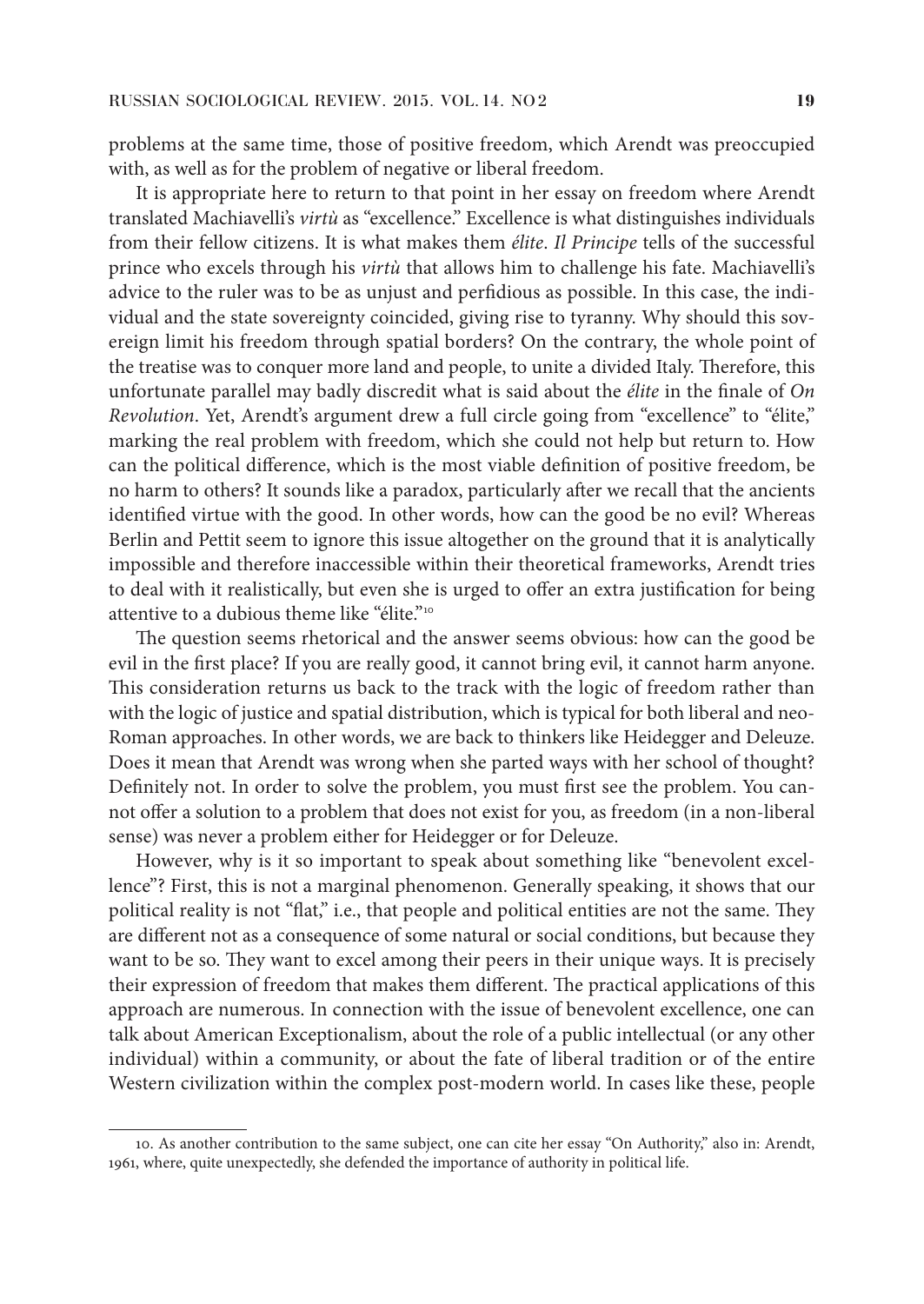problems at the same time, those of positive freedom, which Arendt was preoccupied with, as well as for the problem of negative or liberal freedom.

It is appropriate here to return to that point in her essay on freedom where Arendt translated Machiavelli's *virtù* as "excellence." Excellence is what distinguishes individuals from their fellow citizens. It is what makes them *élite*. *Il Principe* tells of the successful prince who excels through his *virtù* that allows him to challenge his fate. Machiavelli's advice to the ruler was to be as unjust and perfidious as possible. In this case, the individual and the state sovereignty coincided, giving rise to tyranny. Why should this sovereign limit his freedom through spatial borders? On the contrary, the whole point of the treatise was to conquer more land and people, to unite a divided Italy. Therefore, this unfortunate parallel may badly discredit what is said about the *élite* in the finale of *On Revolution*. Yet, Arendt's argument drew a full circle going from "excellence" to "élite," marking the real problem with freedom, which she could not help but return to. How can the political difference, which is the most viable definition of positive freedom, be no harm to others? It sounds like a paradox, particularly after we recall that the ancients identified virtue with the good. In other words, how can the good be no evil? Whereas Berlin and Pettit seem to ignore this issue altogether on the ground that it is analytically impossible and therefore inaccessible within their theoretical frameworks, Arendt tries to deal with it realistically, but even she is urged to offer an extra justification for being attentive to a dubious theme like "élite."10

The question seems rhetorical and the answer seems obvious: how can the good be evil in the first place? If you are really good, it cannot bring evil, it cannot harm anyone. This consideration returns us back to the track with the logic of freedom rather than with the logic of justice and spatial distribution, which is typical for both liberal and neo-Roman approaches. In other words, we are back to thinkers like Heidegger and Deleuze. Does it mean that Arendt was wrong when she parted ways with her school of thought? Definitely not. In order to solve the problem, you must first see the problem. You cannot offer a solution to a problem that does not exist for you, as freedom (in a non-liberal sense) was never a problem either for Heidegger or for Deleuze.

However, why is it so important to speak about something like "benevolent excellence"? First, this is not a marginal phenomenon. Generally speaking, it shows that our political reality is not "flat," i.e., that people and political entities are not the same. They are different not as a consequence of some natural or social conditions, but because they want to be so. They want to excel among their peers in their unique ways. It is precisely their expression of freedom that makes them different. The practical applications of this approach are numerous. In connection with the issue of benevolent excellence, one can talk about American Exceptionalism, about the role of a public intellectual (or any other individual) within a community, or about the fate of liberal tradition or of the entire Western civilization within the complex post-modern world. In cases like these, people

<sup>10.</sup> As another contribution to the same subject, one can cite her essay "On Authority," also in: Arendt, 1961, where, quite unexpectedly, she defended the importance of authority in political life.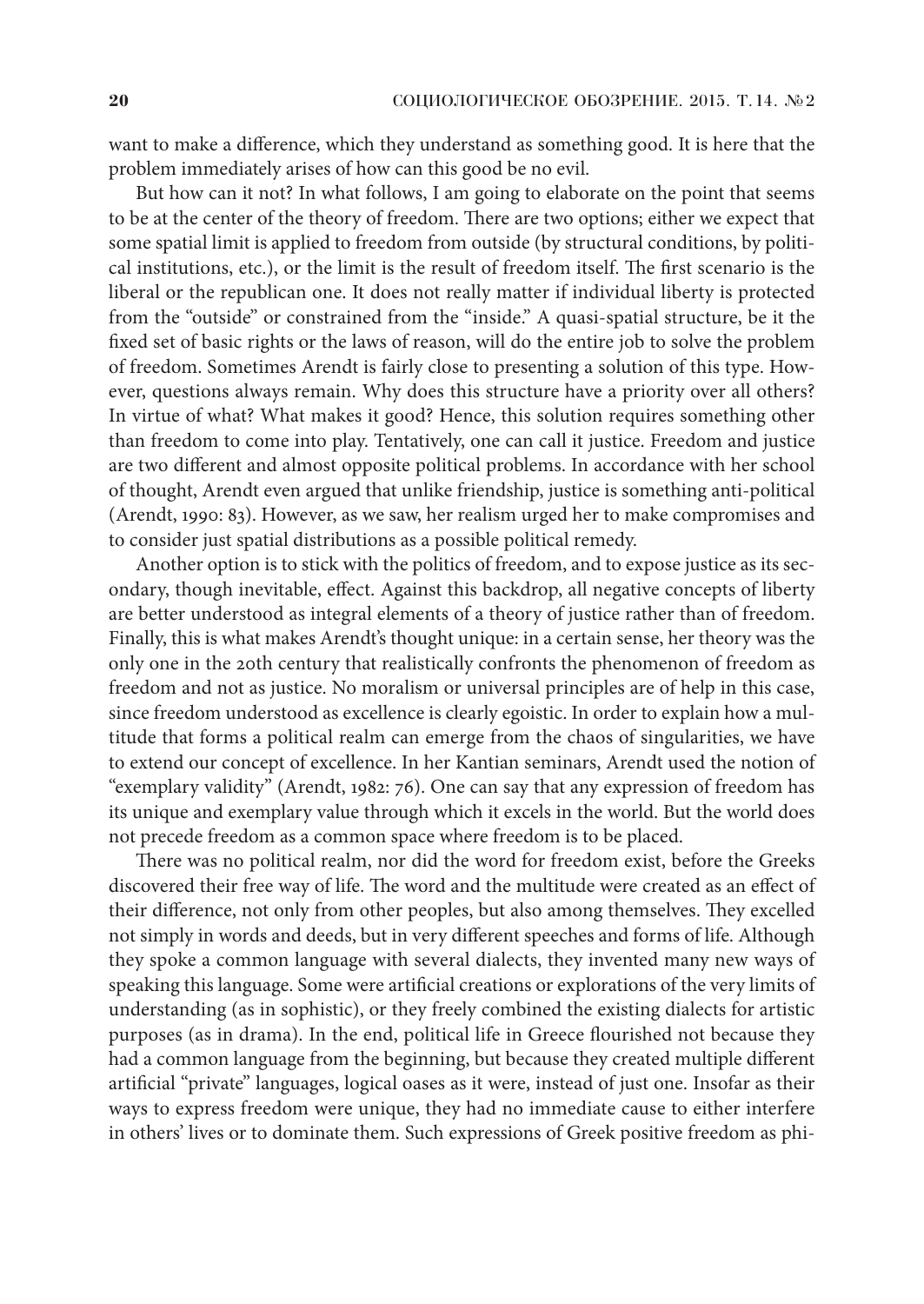want to make a difference, which they understand as something good. It is here that the problem immediately arises of how can this good be no evil.

But how can it not? In what follows, I am going to elaborate on the point that seems to be at the center of the theory of freedom. There are two options; either we expect that some spatial limit is applied to freedom from outside (by structural conditions, by political institutions, etc.), or the limit is the result of freedom itself. The first scenario is the liberal or the republican one. It does not really matter if individual liberty is protected from the "outside" or constrained from the "inside." A quasi-spatial structure, be it the fixed set of basic rights or the laws of reason, will do the entire job to solve the problem of freedom. Sometimes Arendt is fairly close to presenting a solution of this type. However, questions always remain. Why does this structure have a priority over all others? In virtue of what? What makes it good? Hence, this solution requires something other than freedom to come into play. Tentatively, one can call it justice. Freedom and justice are two different and almost opposite political problems. In accordance with her school of thought, Arendt even argued that unlike friendship, justice is something anti-political (Arendt, 1990: 83). However, as we saw, her realism urged her to make compromises and to consider just spatial distributions as a possible political remedy.

Another option is to stick with the politics of freedom, and to expose justice as its secondary, though inevitable, effect. Against this backdrop, all negative concepts of liberty are better understood as integral elements of a theory of justice rather than of freedom. Finally, this is what makes Arendt's thought unique: in a certain sense, her theory was the only one in the 20th century that realistically confronts the phenomenon of freedom as freedom and not as justice. No moralism or universal principles are of help in this case, since freedom understood as excellence is clearly egoistic. In order to explain how a multitude that forms a political realm can emerge from the chaos of singularities, we have to extend our concept of excellence. In her Kantian seminars, Arendt used the notion of "exemplary validity" (Arendt, 1982: 76). One can say that any expression of freedom has its unique and exemplary value through which it excels in the world. But the world does not precede freedom as a common space where freedom is to be placed.

There was no political realm, nor did the word for freedom exist, before the Greeks discovered their free way of life. The word and the multitude were created as an effect of their difference, not only from other peoples, but also among themselves. They excelled not simply in words and deeds, but in very different speeches and forms of life. Although they spoke a common language with several dialects, they invented many new ways of speaking this language. Some were artificial creations or explorations of the very limits of understanding (as in sophistic), or they freely combined the existing dialects for artistic purposes (as in drama). In the end, political life in Greece flourished not because they had a common language from the beginning, but because they created multiple different artificial "private" languages, logical oases as it were, instead of just one. Insofar as their ways to express freedom were unique, they had no immediate cause to either interfere in others' lives or to dominate them. Such expressions of Greek positive freedom as phi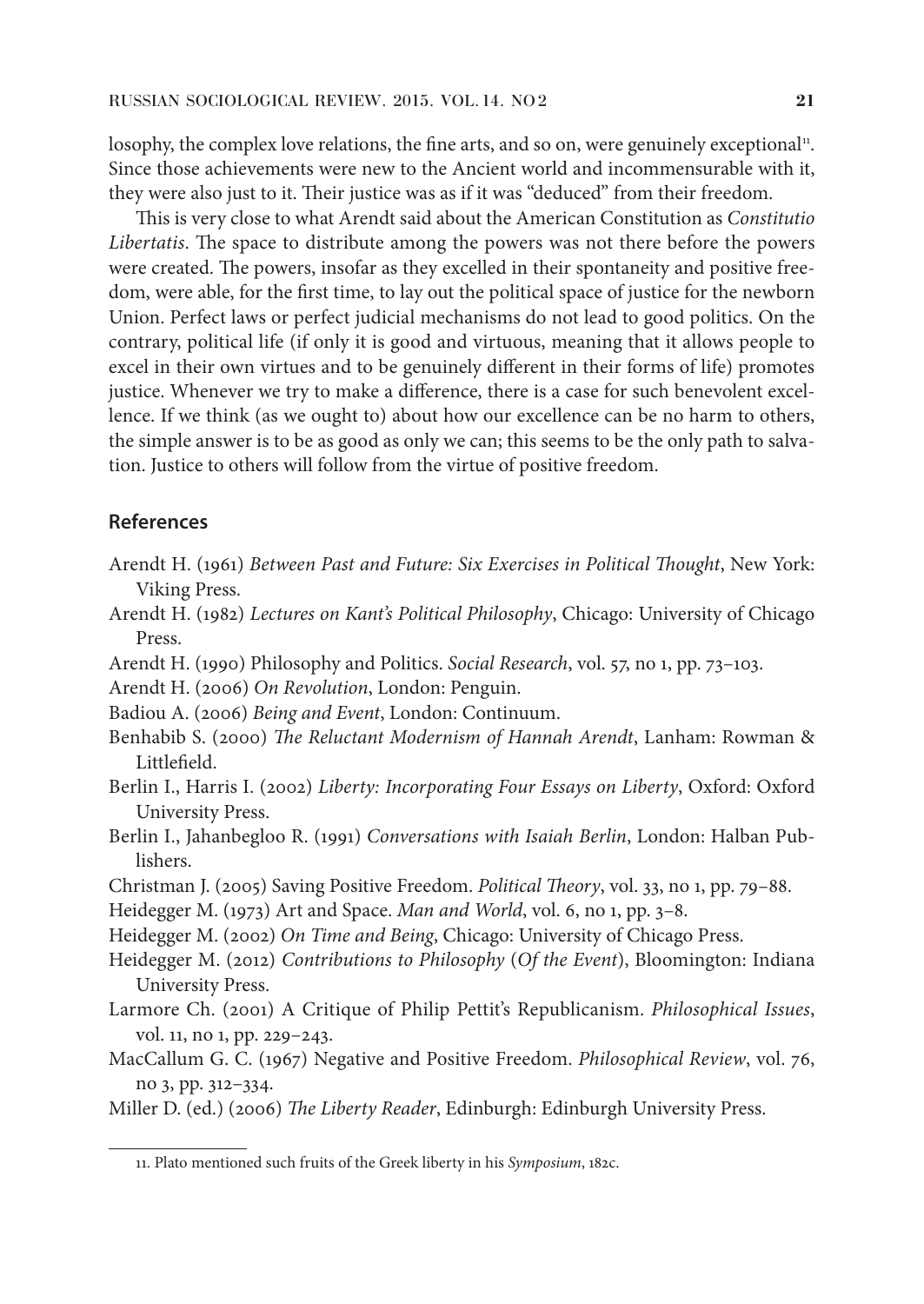losophy, the complex love relations, the fine arts, and so on, were genuinely exceptional<sup>11</sup>. Since those achievements were new to the Ancient world and incommensurable with it, they were also just to it. Their justice was as if it was "deduced" from their freedom.

This is very close to what Arendt said about the American Constitution as *Constitutio Libertatis*. The space to distribute among the powers was not there before the powers were created. The powers, insofar as they excelled in their spontaneity and positive freedom, were able, for the first time, to lay out the political space of justice for the newborn Union. Perfect laws or perfect judicial mechanisms do not lead to good politics. On the contrary, political life (if only it is good and virtuous, meaning that it allows people to excel in their own virtues and to be genuinely different in their forms of life) promotes justice. Whenever we try to make a difference, there is a case for such benevolent excellence. If we think (as we ought to) about how our excellence can be no harm to others, the simple answer is to be as good as only we can; this seems to be the only path to salvation. Justice to others will follow from the virtue of positive freedom.

## **References**

- Arendt H. (1961) *Between Past and Future: Six Exercises in Political Thought*, New York: Viking Press.
- Arendt H. (1982) *Lectures on Kant's Political Philosophy*, Chicago: University of Chicago Press.
- Arendt H. (1990) Philosophy and Politics. *Social Research*, vol. 57, no 1, pp. 73–103.
- Arendt H. (2006) *On Revolution*, London: Penguin.
- Badiou A. (2006) *Being and Event*, London: Continuum.
- Benhabib S. (2000) *The Reluctant Modernism of Hannah Arendt*, Lanham: Rowman & Littlefield.
- Berlin I., Harris I. (2002) *Liberty: Incorporating Four Essays on Liberty*, Oxford: Oxford University Press.
- Berlin I., Jahanbegloo R. (1991) *Conversations with Isaiah Berlin*, London: Halban Publishers.
- Christman J. (2005) Saving Positive Freedom. *Political Theory*, vol. 33, no 1, pp. 79–88.
- Heidegger M. (1973) Art and Space. *Man and World*, vol. 6, no 1, pp. 3–8.
- Heidegger M. (2002) *On Time and Being*, Chicago: University of Chicago Press.
- Heidegger M. (2012) *Contributions to Philosophy* (*Of the Event*), Bloomington: Indiana University Press.
- Larmore Ch. (2001) A Critique of Philip Pettit's Republicanism. *Philosophical Issues*, vol. 11, no 1, pp. 229–243.
- MacCallum G. C. (1967) Negative and Positive Freedom. *Philosophical Review*, vol. 76, no 3, pp. 312–334.

Miller D. (ed.) (2006) *The Liberty Reader*, Edinburgh: Edinburgh University Press.

<sup>11.</sup> Plato mentioned such fruits of the Greek liberty in his *Symposium*, 182c.